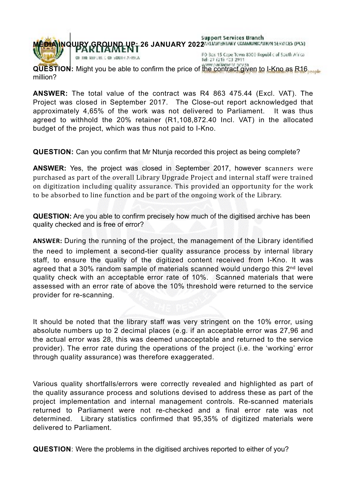

million?

**ANSWER:** The total value of the contract was R4 863 475.44 (Excl. VAT). The Project was closed in September 2017. The Close-out report acknowledged that approximately 4,65% of the work was not delivered to Parliament. It was thus agreed to withhold the 20% retainer (R1,108,872.40 Incl. VAT) in the allocated budget of the project, which was thus not paid to I-Kno.

**QUESTION:** Can you confirm that Mr Ntunja recorded this project as being complete?

**ANSWER:** Yes, the project was closed in September 2017, however scanners were purchased as part of the overall Library Upgrade Project and internal staff were trained on digitization including quality assurance. This provided an opportunity for the work to be absorbed to line function and be part of the ongoing work of the Library.

**QUESTION:** Are you able to confirm precisely how much of the digitised archive has been quality checked and is free of error?

**ANSWER:** During the running of the project, the management of the Library identified the need to implement a second-tier quality assurance process by internal library staff, to ensure the quality of the digitized content received from I-Kno. It was agreed that a 30% random sample of materials scanned would undergo this 2<sup>nd</sup> level quality check with an acceptable error rate of 10%. Scanned materials that were assessed with an error rate of above the 10% threshold were returned to the service provider for re-scanning.

It should be noted that the library staff was very stringent on the 10% error, using absolute numbers up to 2 decimal places (e.g. if an acceptable error was 27,96 and the actual error was 28, this was deemed unacceptable and returned to the service provider). The error rate during the operations of the project (i.e. the 'working' error through quality assurance) was therefore exaggerated.

Various quality shortfalls/errors were correctly revealed and highlighted as part of the quality assurance process and solutions devised to address these as part of the project implementation and internal management controls. Re-scanned materials returned to Parliament were not re-checked and a final error rate was not determined. Library statistics confirmed that 95,35% of digitized materials were delivered to Parliament.

**QUESTION**: Were the problems in the digitised archives reported to either of you?